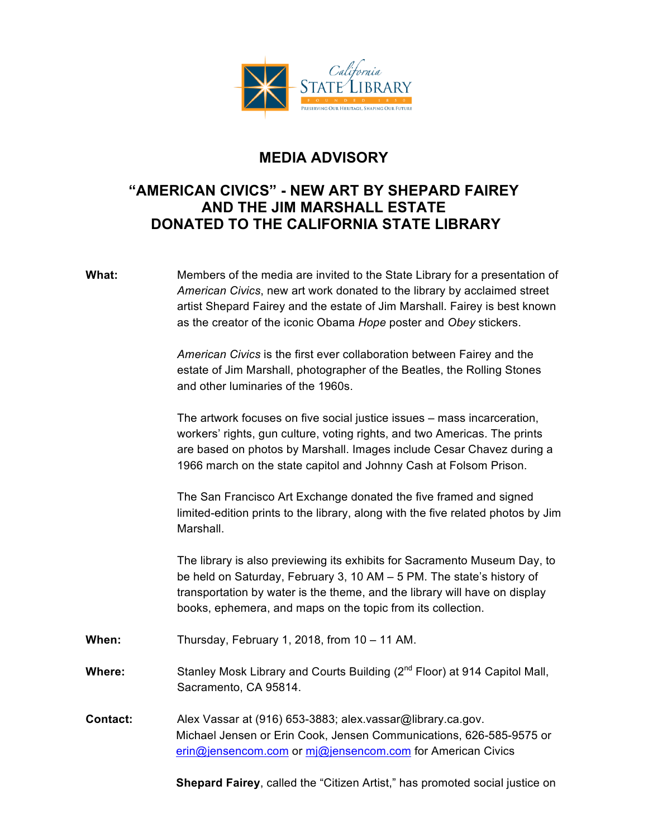

## **MEDIA ADVISORY**

## **"AMERICAN CIVICS" - NEW ART BY SHEPARD FAIREY AND THE JIM MARSHALL ESTATE DONATED TO THE CALIFORNIA STATE LIBRARY**

**What:** Members of the media are invited to the State Library for a presentation of *American Civics*, new art work donated to the library by acclaimed street artist Shepard Fairey and the estate of Jim Marshall. Fairey is best known as the creator of the iconic Obama *Hope* poster and *Obey* stickers. *American Civics* is the first ever collaboration between Fairey and the estate of Jim Marshall, photographer of the Beatles, the Rolling Stones and other luminaries of the 1960s. The artwork focuses on five social justice issues – mass incarceration, workers' rights, gun culture, voting rights, and two Americas. The prints are based on photos by Marshall. Images include Cesar Chavez during a 1966 march on the state capitol and Johnny Cash at Folsom Prison. The San Francisco Art Exchange donated the five framed and signed limited-edition prints to the library, along with the five related photos by Jim Marshall. The library is also previewing its exhibits for Sacramento Museum Day, to be held on Saturday, February 3, 10 AM – 5 PM. The state's history of transportation by water is the theme, and the library will have on display books, ephemera, and maps on the topic from its collection. **When:** Thursday, February 1, 2018, from 10 – 11 AM. **Where:** Stanley Mosk Library and Courts Building (2<sup>nd</sup> Floor) at 914 Capitol Mall, Sacramento, CA 95814. **Contact:** Alex Vassar at (916) 653-3883; alex.vassar@library.ca.gov. Michael Jensen or Erin Cook, Jensen Communications, 626-585-9575 or erin@jensencom.com or mj@jensencom.com for American Civics

**Shepard Fairey**, called the "Citizen Artist," has promoted social justice on